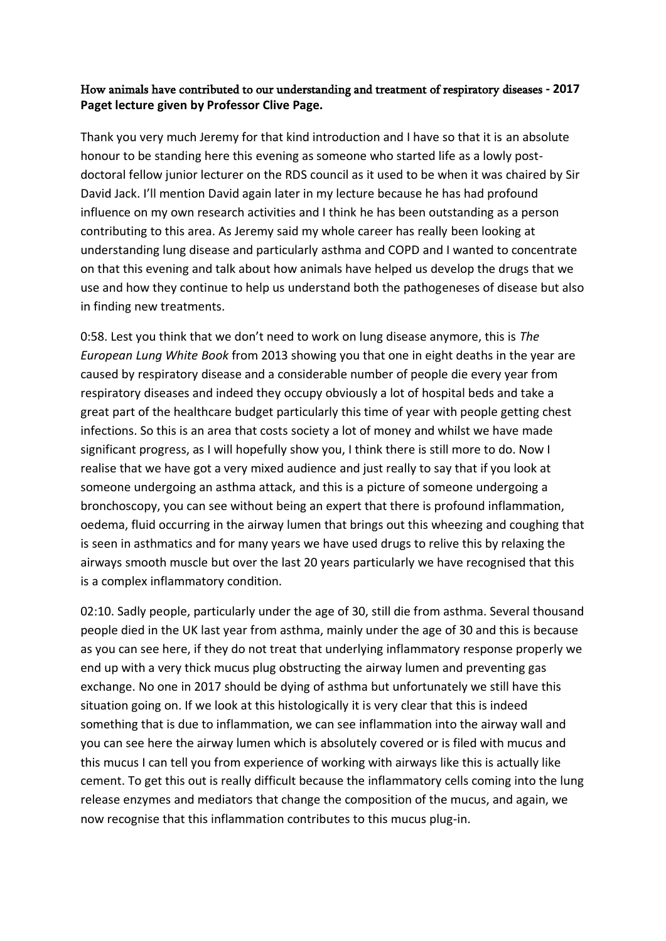## How animals have contributed to our understanding and treatment of respiratory diseases **- 2017 Paget lecture given by Professor Clive Page.**

Thank you very much Jeremy for that kind introduction and I have so that it is an absolute honour to be standing here this evening as someone who started life as a lowly postdoctoral fellow junior lecturer on the RDS council as it used to be when it was chaired by Sir David Jack. I'll mention David again later in my lecture because he has had profound influence on my own research activities and I think he has been outstanding as a person contributing to this area. As Jeremy said my whole career has really been looking at understanding lung disease and particularly asthma and COPD and I wanted to concentrate on that this evening and talk about how animals have helped us develop the drugs that we use and how they continue to help us understand both the pathogeneses of disease but also in finding new treatments.

0:58. Lest you think that we don't need to work on lung disease anymore, this is *The European Lung White Book* from 2013 showing you that one in eight deaths in the year are caused by respiratory disease and a considerable number of people die every year from respiratory diseases and indeed they occupy obviously a lot of hospital beds and take a great part of the healthcare budget particularly this time of year with people getting chest infections. So this is an area that costs society a lot of money and whilst we have made significant progress, as I will hopefully show you, I think there is still more to do. Now I realise that we have got a very mixed audience and just really to say that if you look at someone undergoing an asthma attack, and this is a picture of someone undergoing a bronchoscopy, you can see without being an expert that there is profound inflammation, oedema, fluid occurring in the airway lumen that brings out this wheezing and coughing that is seen in asthmatics and for many years we have used drugs to relive this by relaxing the airways smooth muscle but over the last 20 years particularly we have recognised that this is a complex inflammatory condition.

02:10. Sadly people, particularly under the age of 30, still die from asthma. Several thousand people died in the UK last year from asthma, mainly under the age of 30 and this is because as you can see here, if they do not treat that underlying inflammatory response properly we end up with a very thick mucus plug obstructing the airway lumen and preventing gas exchange. No one in 2017 should be dying of asthma but unfortunately we still have this situation going on. If we look at this histologically it is very clear that this is indeed something that is due to inflammation, we can see inflammation into the airway wall and you can see here the airway lumen which is absolutely covered or is filed with mucus and this mucus I can tell you from experience of working with airways like this is actually like cement. To get this out is really difficult because the inflammatory cells coming into the lung release enzymes and mediators that change the composition of the mucus, and again, we now recognise that this inflammation contributes to this mucus plug-in.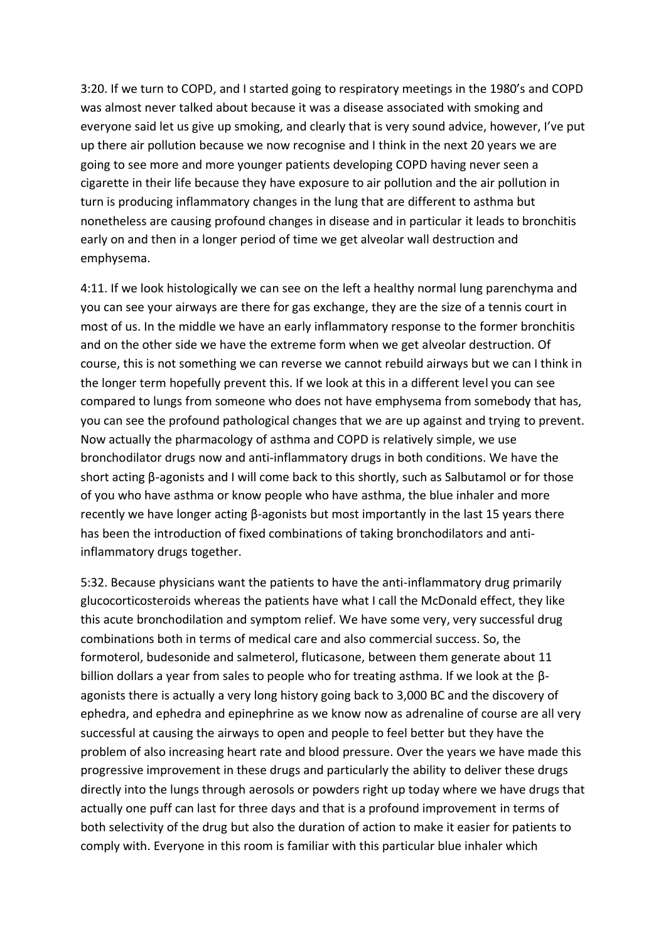3:20. If we turn to COPD, and I started going to respiratory meetings in the 1980's and COPD was almost never talked about because it was a disease associated with smoking and everyone said let us give up smoking, and clearly that is very sound advice, however, I've put up there air pollution because we now recognise and I think in the next 20 years we are going to see more and more younger patients developing COPD having never seen a cigarette in their life because they have exposure to air pollution and the air pollution in turn is producing inflammatory changes in the lung that are different to asthma but nonetheless are causing profound changes in disease and in particular it leads to bronchitis early on and then in a longer period of time we get alveolar wall destruction and emphysema.

4:11. If we look histologically we can see on the left a healthy normal lung parenchyma and you can see your airways are there for gas exchange, they are the size of a tennis court in most of us. In the middle we have an early inflammatory response to the former bronchitis and on the other side we have the extreme form when we get alveolar destruction. Of course, this is not something we can reverse we cannot rebuild airways but we can I think in the longer term hopefully prevent this. If we look at this in a different level you can see compared to lungs from someone who does not have emphysema from somebody that has, you can see the profound pathological changes that we are up against and trying to prevent. Now actually the pharmacology of asthma and COPD is relatively simple, we use bronchodilator drugs now and anti-inflammatory drugs in both conditions. We have the short acting β-agonists and I will come back to this shortly, such as Salbutamol or for those of you who have asthma or know people who have asthma, the blue inhaler and more recently we have longer acting β-agonists but most importantly in the last 15 years there has been the introduction of fixed combinations of taking bronchodilators and antiinflammatory drugs together.

5:32. Because physicians want the patients to have the anti-inflammatory drug primarily glucocorticosteroids whereas the patients have what I call the McDonald effect, they like this acute bronchodilation and symptom relief. We have some very, very successful drug combinations both in terms of medical care and also commercial success. So, the formoterol, budesonide and salmeterol, fluticasone, between them generate about 11 billion dollars a year from sales to people who for treating asthma. If we look at the βagonists there is actually a very long history going back to 3,000 BC and the discovery of ephedra, and ephedra and epinephrine as we know now as adrenaline of course are all very successful at causing the airways to open and people to feel better but they have the problem of also increasing heart rate and blood pressure. Over the years we have made this progressive improvement in these drugs and particularly the ability to deliver these drugs directly into the lungs through aerosols or powders right up today where we have drugs that actually one puff can last for three days and that is a profound improvement in terms of both selectivity of the drug but also the duration of action to make it easier for patients to comply with. Everyone in this room is familiar with this particular blue inhaler which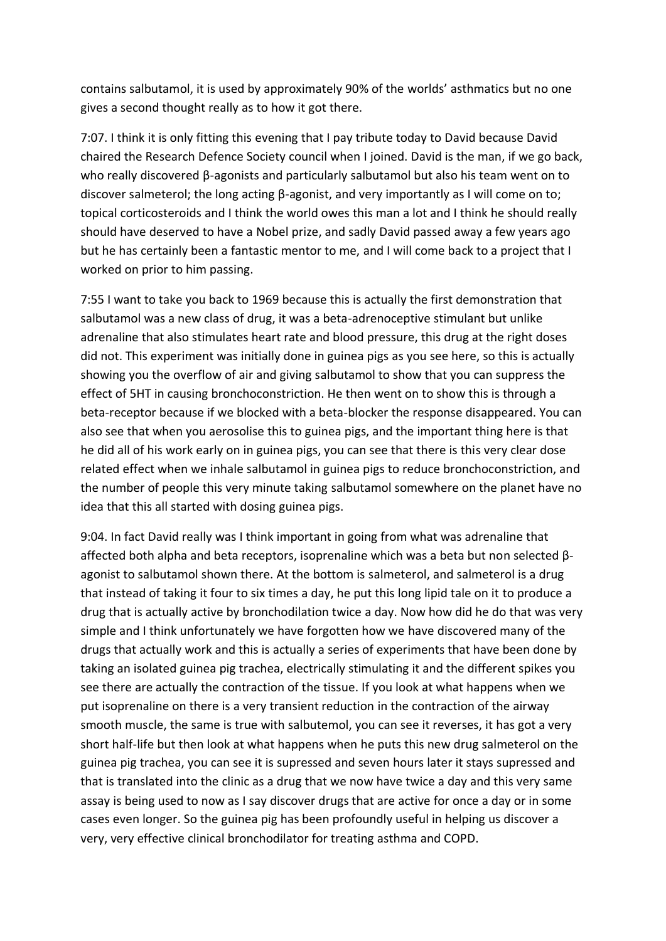contains salbutamol, it is used by approximately 90% of the worlds' asthmatics but no one gives a second thought really as to how it got there.

7:07. I think it is only fitting this evening that I pay tribute today to David because David chaired the Research Defence Society council when I joined. David is the man, if we go back, who really discovered β-agonists and particularly salbutamol but also his team went on to discover salmeterol; the long acting β-agonist, and very importantly as I will come on to; topical corticosteroids and I think the world owes this man a lot and I think he should really should have deserved to have a Nobel prize, and sadly David passed away a few years ago but he has certainly been a fantastic mentor to me, and I will come back to a project that I worked on prior to him passing.

7:55 I want to take you back to 1969 because this is actually the first demonstration that salbutamol was a new class of drug, it was a beta-adrenoceptive stimulant but unlike adrenaline that also stimulates heart rate and blood pressure, this drug at the right doses did not. This experiment was initially done in guinea pigs as you see here, so this is actually showing you the overflow of air and giving salbutamol to show that you can suppress the effect of 5HT in causing bronchoconstriction. He then went on to show this is through a beta-receptor because if we blocked with a beta-blocker the response disappeared. You can also see that when you aerosolise this to guinea pigs, and the important thing here is that he did all of his work early on in guinea pigs, you can see that there is this very clear dose related effect when we inhale salbutamol in guinea pigs to reduce bronchoconstriction, and the number of people this very minute taking salbutamol somewhere on the planet have no idea that this all started with dosing guinea pigs.

9:04. In fact David really was I think important in going from what was adrenaline that affected both alpha and beta receptors, isoprenaline which was a beta but non selected βagonist to salbutamol shown there. At the bottom is salmeterol, and salmeterol is a drug that instead of taking it four to six times a day, he put this long lipid tale on it to produce a drug that is actually active by bronchodilation twice a day. Now how did he do that was very simple and I think unfortunately we have forgotten how we have discovered many of the drugs that actually work and this is actually a series of experiments that have been done by taking an isolated guinea pig trachea, electrically stimulating it and the different spikes you see there are actually the contraction of the tissue. If you look at what happens when we put isoprenaline on there is a very transient reduction in the contraction of the airway smooth muscle, the same is true with salbutemol, you can see it reverses, it has got a very short half-life but then look at what happens when he puts this new drug salmeterol on the guinea pig trachea, you can see it is supressed and seven hours later it stays supressed and that is translated into the clinic as a drug that we now have twice a day and this very same assay is being used to now as I say discover drugs that are active for once a day or in some cases even longer. So the guinea pig has been profoundly useful in helping us discover a very, very effective clinical bronchodilator for treating asthma and COPD.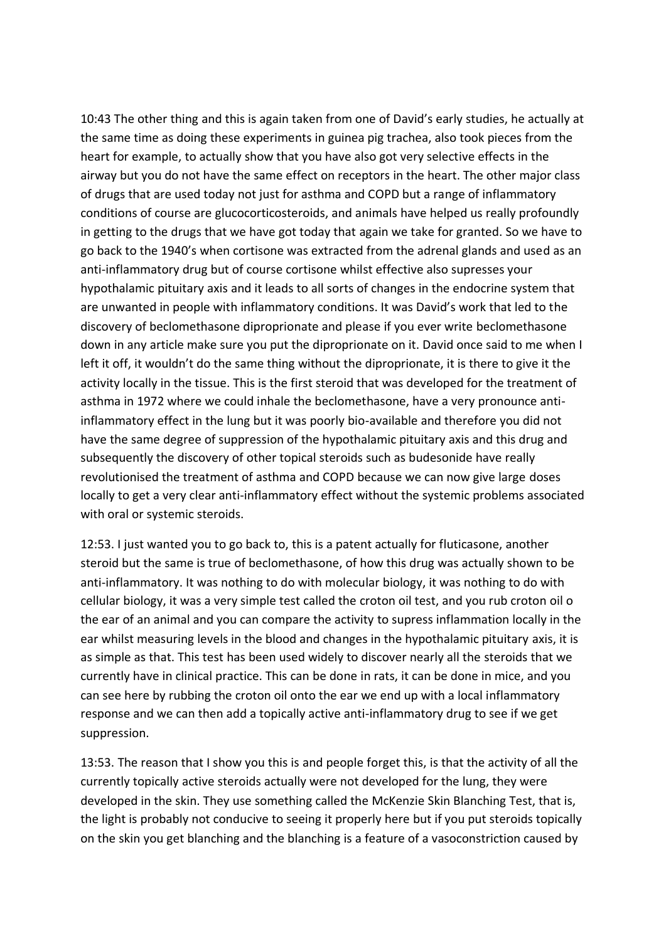10:43 The other thing and this is again taken from one of David's early studies, he actually at the same time as doing these experiments in guinea pig trachea, also took pieces from the heart for example, to actually show that you have also got very selective effects in the airway but you do not have the same effect on receptors in the heart. The other major class of drugs that are used today not just for asthma and COPD but a range of inflammatory conditions of course are glucocorticosteroids, and animals have helped us really profoundly in getting to the drugs that we have got today that again we take for granted. So we have to go back to the 1940's when cortisone was extracted from the adrenal glands and used as an anti-inflammatory drug but of course cortisone whilst effective also supresses your hypothalamic pituitary axis and it leads to all sorts of changes in the endocrine system that are unwanted in people with inflammatory conditions. It was David's work that led to the discovery of beclomethasone diproprionate and please if you ever write beclomethasone down in any article make sure you put the diproprionate on it. David once said to me when I left it off, it wouldn't do the same thing without the diproprionate, it is there to give it the activity locally in the tissue. This is the first steroid that was developed for the treatment of asthma in 1972 where we could inhale the beclomethasone, have a very pronounce antiinflammatory effect in the lung but it was poorly bio-available and therefore you did not have the same degree of suppression of the hypothalamic pituitary axis and this drug and subsequently the discovery of other topical steroids such as budesonide have really revolutionised the treatment of asthma and COPD because we can now give large doses locally to get a very clear anti-inflammatory effect without the systemic problems associated with oral or systemic steroids.

12:53. I just wanted you to go back to, this is a patent actually for fluticasone, another steroid but the same is true of beclomethasone, of how this drug was actually shown to be anti-inflammatory. It was nothing to do with molecular biology, it was nothing to do with cellular biology, it was a very simple test called the croton oil test, and you rub croton oil o the ear of an animal and you can compare the activity to supress inflammation locally in the ear whilst measuring levels in the blood and changes in the hypothalamic pituitary axis, it is as simple as that. This test has been used widely to discover nearly all the steroids that we currently have in clinical practice. This can be done in rats, it can be done in mice, and you can see here by rubbing the croton oil onto the ear we end up with a local inflammatory response and we can then add a topically active anti-inflammatory drug to see if we get suppression.

13:53. The reason that I show you this is and people forget this, is that the activity of all the currently topically active steroids actually were not developed for the lung, they were developed in the skin. They use something called the McKenzie Skin Blanching Test, that is, the light is probably not conducive to seeing it properly here but if you put steroids topically on the skin you get blanching and the blanching is a feature of a vasoconstriction caused by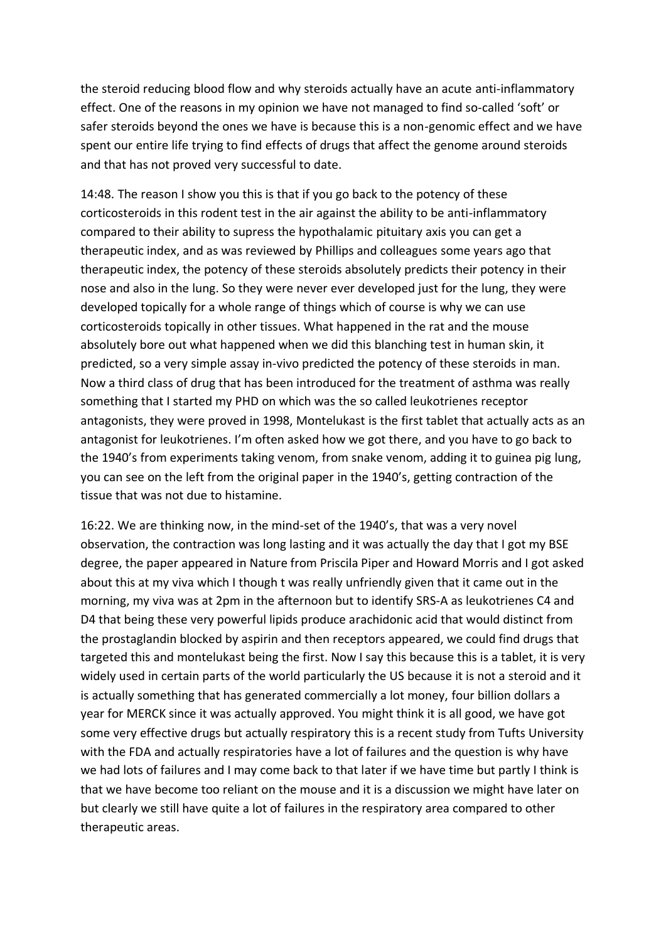the steroid reducing blood flow and why steroids actually have an acute anti-inflammatory effect. One of the reasons in my opinion we have not managed to find so-called 'soft' or safer steroids beyond the ones we have is because this is a non-genomic effect and we have spent our entire life trying to find effects of drugs that affect the genome around steroids and that has not proved very successful to date.

14:48. The reason I show you this is that if you go back to the potency of these corticosteroids in this rodent test in the air against the ability to be anti-inflammatory compared to their ability to supress the hypothalamic pituitary axis you can get a therapeutic index, and as was reviewed by Phillips and colleagues some years ago that therapeutic index, the potency of these steroids absolutely predicts their potency in their nose and also in the lung. So they were never ever developed just for the lung, they were developed topically for a whole range of things which of course is why we can use corticosteroids topically in other tissues. What happened in the rat and the mouse absolutely bore out what happened when we did this blanching test in human skin, it predicted, so a very simple assay in-vivo predicted the potency of these steroids in man. Now a third class of drug that has been introduced for the treatment of asthma was really something that I started my PHD on which was the so called leukotrienes receptor antagonists, they were proved in 1998, Montelukast is the first tablet that actually acts as an antagonist for leukotrienes. I'm often asked how we got there, and you have to go back to the 1940's from experiments taking venom, from snake venom, adding it to guinea pig lung, you can see on the left from the original paper in the 1940's, getting contraction of the tissue that was not due to histamine.

16:22. We are thinking now, in the mind-set of the 1940's, that was a very novel observation, the contraction was long lasting and it was actually the day that I got my BSE degree, the paper appeared in Nature from Priscila Piper and Howard Morris and I got asked about this at my viva which I though t was really unfriendly given that it came out in the morning, my viva was at 2pm in the afternoon but to identify SRS-A as leukotrienes C4 and D4 that being these very powerful lipids produce arachidonic acid that would distinct from the prostaglandin blocked by aspirin and then receptors appeared, we could find drugs that targeted this and montelukast being the first. Now I say this because this is a tablet, it is very widely used in certain parts of the world particularly the US because it is not a steroid and it is actually something that has generated commercially a lot money, four billion dollars a year for MERCK since it was actually approved. You might think it is all good, we have got some very effective drugs but actually respiratory this is a recent study from Tufts University with the FDA and actually respiratories have a lot of failures and the question is why have we had lots of failures and I may come back to that later if we have time but partly I think is that we have become too reliant on the mouse and it is a discussion we might have later on but clearly we still have quite a lot of failures in the respiratory area compared to other therapeutic areas.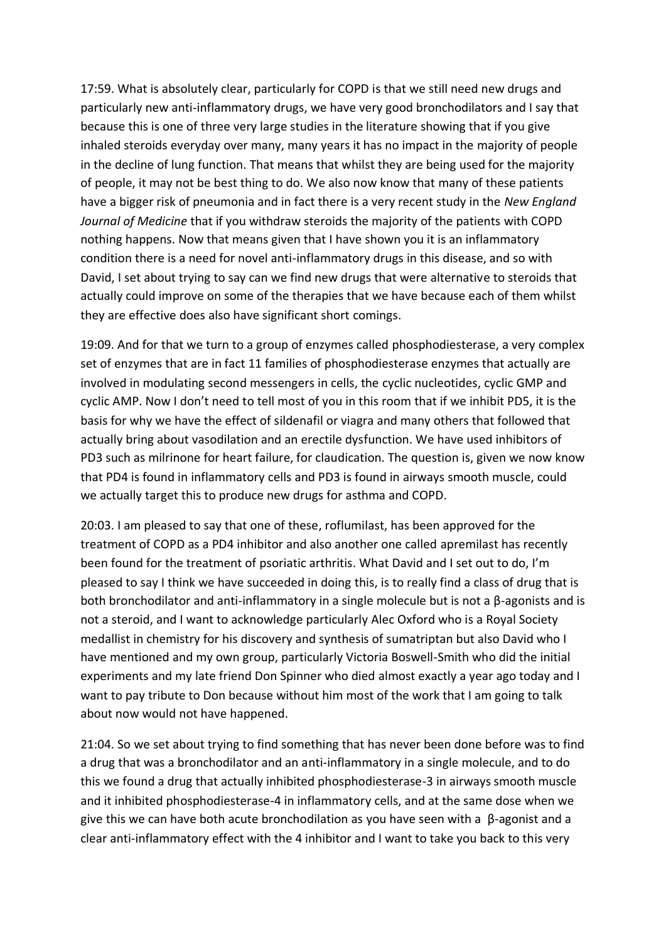17:59. What is absolutely clear, particularly for COPD is that we still need new drugs and particularly new anti-inflammatory drugs, we have very good bronchodilators and I say that because this is one of three very large studies in the literature showing that if you give inhaled steroids everyday over many, many years it has no impact in the majority of people in the decline of lung function. That means that whilst they are being used for the majority of people, it may not be best thing to do. We also now know that many of these patients have a bigger risk of pneumonia and in fact there is a very recent study in the *New England Journal of Medicine* that if you withdraw steroids the majority of the patients with COPD nothing happens. Now that means given that I have shown you it is an inflammatory condition there is a need for novel anti-inflammatory drugs in this disease, and so with David, I set about trying to say can we find new drugs that were alternative to steroids that actually could improve on some of the therapies that we have because each of them whilst they are effective does also have significant short comings.

19:09. And for that we turn to a group of enzymes called phosphodiesterase, a very complex set of enzymes that are in fact 11 families of phosphodiesterase enzymes that actually are involved in modulating second messengers in cells, the cyclic nucleotides, cyclic GMP and cyclic AMP. Now I don't need to tell most of you in this room that if we inhibit PD5, it is the basis for why we have the effect of sildenafil or viagra and many others that followed that actually bring about vasodilation and an erectile dysfunction. We have used inhibitors of PD3 such as milrinone for heart failure, for claudication. The question is, given we now know that PD4 is found in inflammatory cells and PD3 is found in airways smooth muscle, could we actually target this to produce new drugs for asthma and COPD.

20:03. I am pleased to say that one of these, roflumilast, has been approved for the treatment of COPD as a PD4 inhibitor and also another one called apremilast has recently been found for the treatment of psoriatic arthritis. What David and I set out to do, I'm pleased to say I think we have succeeded in doing this, is to really find a class of drug that is both bronchodilator and anti-inflammatory in a single molecule but is not a β-agonists and is not a steroid, and I want to acknowledge particularly Alec Oxford who is a Royal Society medallist in chemistry for his discovery and synthesis of sumatriptan but also David who I have mentioned and my own group, particularly Victoria Boswell-Smith who did the initial experiments and my late friend Don Spinner who died almost exactly a year ago today and I want to pay tribute to Don because without him most of the work that I am going to talk about now would not have happened.

21:04. So we set about trying to find something that has never been done before was to find a drug that was a bronchodilator and an anti-inflammatory in a single molecule, and to do this we found a drug that actually inhibited phosphodiesterase-3 in airways smooth muscle and it inhibited phosphodiesterase-4 in inflammatory cells, and at the same dose when we give this we can have both acute bronchodilation as you have seen with a  $\beta$ -agonist and a clear anti-inflammatory effect with the 4 inhibitor and I want to take you back to this very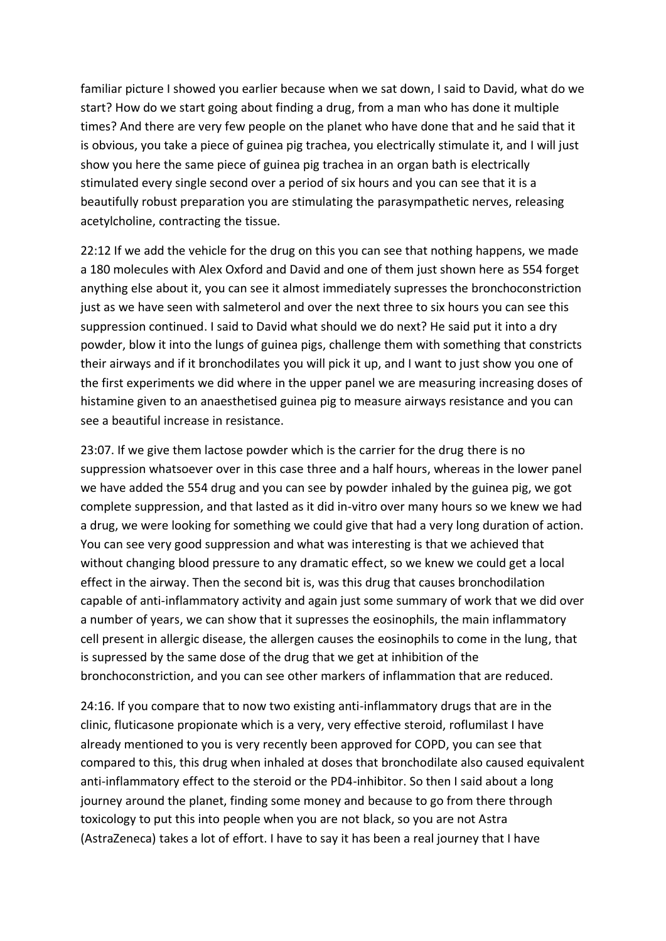familiar picture I showed you earlier because when we sat down, I said to David, what do we start? How do we start going about finding a drug, from a man who has done it multiple times? And there are very few people on the planet who have done that and he said that it is obvious, you take a piece of guinea pig trachea, you electrically stimulate it, and I will just show you here the same piece of guinea pig trachea in an organ bath is electrically stimulated every single second over a period of six hours and you can see that it is a beautifully robust preparation you are stimulating the parasympathetic nerves, releasing acetylcholine, contracting the tissue.

22:12 If we add the vehicle for the drug on this you can see that nothing happens, we made a 180 molecules with Alex Oxford and David and one of them just shown here as 554 forget anything else about it, you can see it almost immediately supresses the bronchoconstriction just as we have seen with salmeterol and over the next three to six hours you can see this suppression continued. I said to David what should we do next? He said put it into a dry powder, blow it into the lungs of guinea pigs, challenge them with something that constricts their airways and if it bronchodilates you will pick it up, and I want to just show you one of the first experiments we did where in the upper panel we are measuring increasing doses of histamine given to an anaesthetised guinea pig to measure airways resistance and you can see a beautiful increase in resistance.

23:07. If we give them lactose powder which is the carrier for the drug there is no suppression whatsoever over in this case three and a half hours, whereas in the lower panel we have added the 554 drug and you can see by powder inhaled by the guinea pig, we got complete suppression, and that lasted as it did in-vitro over many hours so we knew we had a drug, we were looking for something we could give that had a very long duration of action. You can see very good suppression and what was interesting is that we achieved that without changing blood pressure to any dramatic effect, so we knew we could get a local effect in the airway. Then the second bit is, was this drug that causes bronchodilation capable of anti-inflammatory activity and again just some summary of work that we did over a number of years, we can show that it supresses the eosinophils, the main inflammatory cell present in allergic disease, the allergen causes the eosinophils to come in the lung, that is supressed by the same dose of the drug that we get at inhibition of the bronchoconstriction, and you can see other markers of inflammation that are reduced.

24:16. If you compare that to now two existing anti-inflammatory drugs that are in the clinic, fluticasone propionate which is a very, very effective steroid, roflumilast I have already mentioned to you is very recently been approved for COPD, you can see that compared to this, this drug when inhaled at doses that bronchodilate also caused equivalent anti-inflammatory effect to the steroid or the PD4-inhibitor. So then I said about a long journey around the planet, finding some money and because to go from there through toxicology to put this into people when you are not black, so you are not Astra (AstraZeneca) takes a lot of effort. I have to say it has been a real journey that I have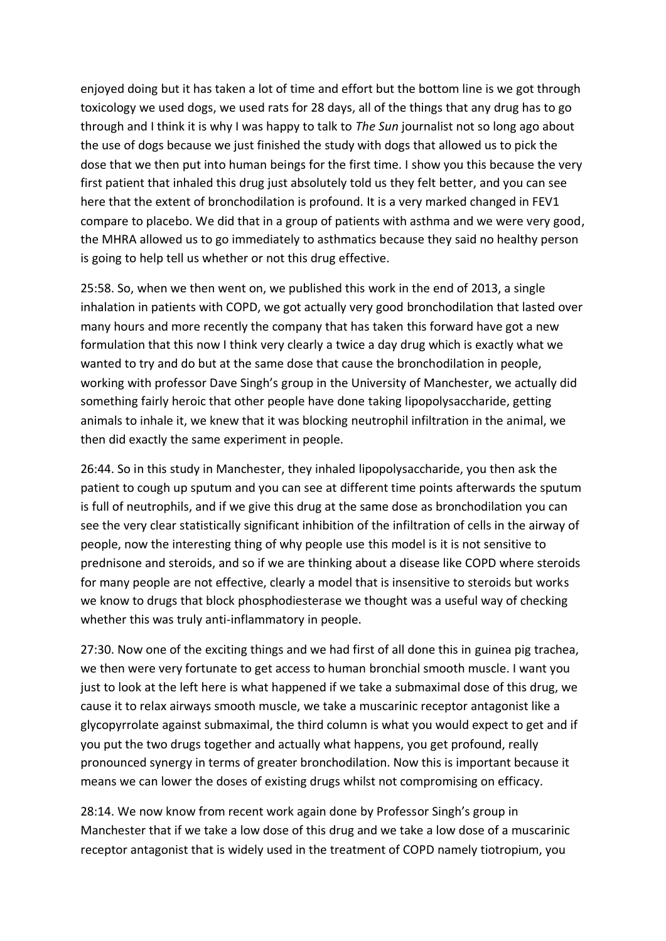enjoyed doing but it has taken a lot of time and effort but the bottom line is we got through toxicology we used dogs, we used rats for 28 days, all of the things that any drug has to go through and I think it is why I was happy to talk to *The Sun* journalist not so long ago about the use of dogs because we just finished the study with dogs that allowed us to pick the dose that we then put into human beings for the first time. I show you this because the very first patient that inhaled this drug just absolutely told us they felt better, and you can see here that the extent of bronchodilation is profound. It is a very marked changed in FEV1 compare to placebo. We did that in a group of patients with asthma and we were very good, the MHRA allowed us to go immediately to asthmatics because they said no healthy person is going to help tell us whether or not this drug effective.

25:58. So, when we then went on, we published this work in the end of 2013, a single inhalation in patients with COPD, we got actually very good bronchodilation that lasted over many hours and more recently the company that has taken this forward have got a new formulation that this now I think very clearly a twice a day drug which is exactly what we wanted to try and do but at the same dose that cause the bronchodilation in people, working with professor Dave Singh's group in the University of Manchester, we actually did something fairly heroic that other people have done taking lipopolysaccharide, getting animals to inhale it, we knew that it was blocking neutrophil infiltration in the animal, we then did exactly the same experiment in people.

26:44. So in this study in Manchester, they inhaled lipopolysaccharide, you then ask the patient to cough up sputum and you can see at different time points afterwards the sputum is full of neutrophils, and if we give this drug at the same dose as bronchodilation you can see the very clear statistically significant inhibition of the infiltration of cells in the airway of people, now the interesting thing of why people use this model is it is not sensitive to prednisone and steroids, and so if we are thinking about a disease like COPD where steroids for many people are not effective, clearly a model that is insensitive to steroids but works we know to drugs that block phosphodiesterase we thought was a useful way of checking whether this was truly anti-inflammatory in people.

27:30. Now one of the exciting things and we had first of all done this in guinea pig trachea, we then were very fortunate to get access to human bronchial smooth muscle. I want you just to look at the left here is what happened if we take a submaximal dose of this drug, we cause it to relax airways smooth muscle, we take a muscarinic receptor antagonist like a glycopyrrolate against submaximal, the third column is what you would expect to get and if you put the two drugs together and actually what happens, you get profound, really pronounced synergy in terms of greater bronchodilation. Now this is important because it means we can lower the doses of existing drugs whilst not compromising on efficacy.

28:14. We now know from recent work again done by Professor Singh's group in Manchester that if we take a low dose of this drug and we take a low dose of a muscarinic receptor antagonist that is widely used in the treatment of COPD namely tiotropium, you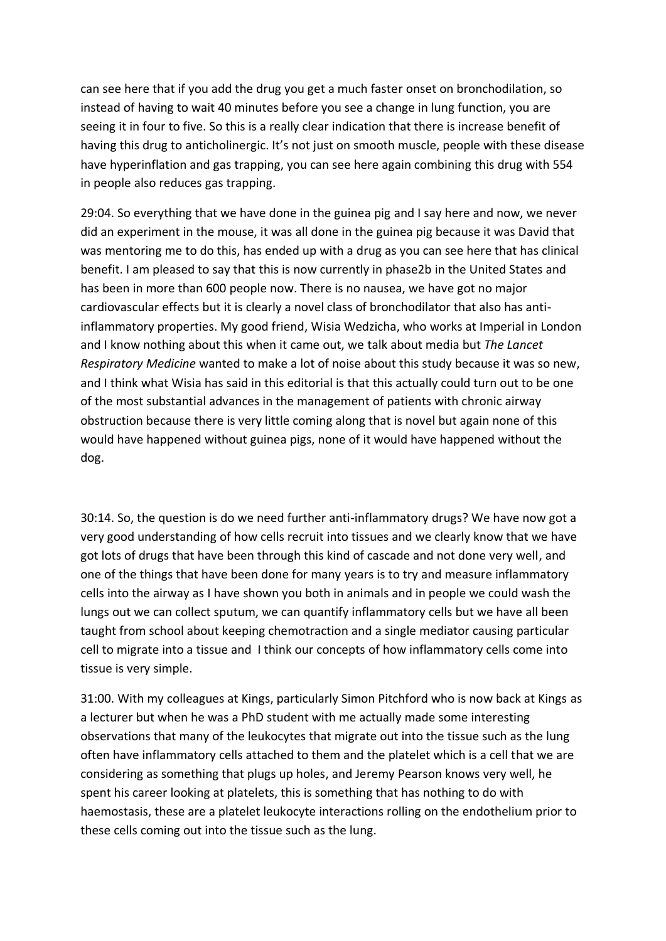can see here that if you add the drug you get a much faster onset on bronchodilation, so instead of having to wait 40 minutes before you see a change in lung function, you are seeing it in four to five. So this is a really clear indication that there is increase benefit of having this drug to anticholinergic. It's not just on smooth muscle, people with these disease have hyperinflation and gas trapping, you can see here again combining this drug with 554 in people also reduces gas trapping.

29:04. So everything that we have done in the guinea pig and I say here and now, we never did an experiment in the mouse, it was all done in the guinea pig because it was David that was mentoring me to do this, has ended up with a drug as you can see here that has clinical benefit. I am pleased to say that this is now currently in phase2b in the United States and has been in more than 600 people now. There is no nausea, we have got no major cardiovascular effects but it is clearly a novel class of bronchodilator that also has antiinflammatory properties. My good friend, Wisia Wedzicha, who works at Imperial in London and I know nothing about this when it came out, we talk about media but *The Lancet Respiratory Medicine* wanted to make a lot of noise about this study because it was so new, and I think what Wisia has said in this editorial is that this actually could turn out to be one of the most substantial advances in the management of patients with chronic airway obstruction because there is very little coming along that is novel but again none of this would have happened without guinea pigs, none of it would have happened without the dog.

30:14. So, the question is do we need further anti-inflammatory drugs? We have now got a very good understanding of how cells recruit into tissues and we clearly know that we have got lots of drugs that have been through this kind of cascade and not done very well, and one of the things that have been done for many years is to try and measure inflammatory cells into the airway as I have shown you both in animals and in people we could wash the lungs out we can collect sputum, we can quantify inflammatory cells but we have all been taught from school about keeping chemotraction and a single mediator causing particular cell to migrate into a tissue and I think our concepts of how inflammatory cells come into tissue is very simple.

31:00. With my colleagues at Kings, particularly Simon Pitchford who is now back at Kings as a lecturer but when he was a PhD student with me actually made some interesting observations that many of the leukocytes that migrate out into the tissue such as the lung often have inflammatory cells attached to them and the platelet which is a cell that we are considering as something that plugs up holes, and Jeremy Pearson knows very well, he spent his career looking at platelets, this is something that has nothing to do with haemostasis, these are a platelet leukocyte interactions rolling on the endothelium prior to these cells coming out into the tissue such as the lung.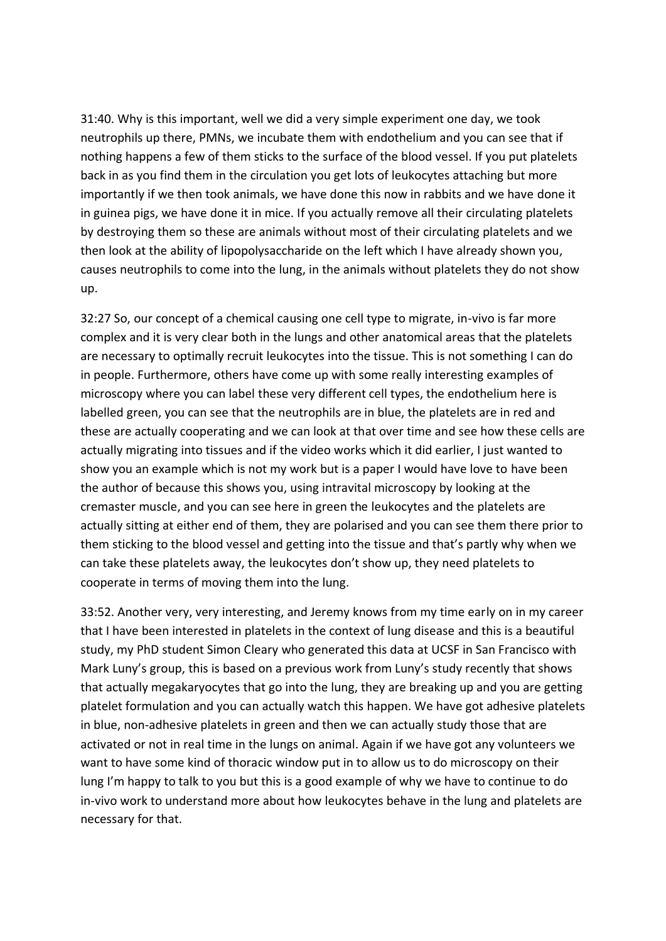31:40. Why is this important, well we did a very simple experiment one day, we took neutrophils up there, PMNs, we incubate them with endothelium and you can see that if nothing happens a few of them sticks to the surface of the blood vessel. If you put platelets back in as you find them in the circulation you get lots of leukocytes attaching but more importantly if we then took animals, we have done this now in rabbits and we have done it in guinea pigs, we have done it in mice. If you actually remove all their circulating platelets by destroying them so these are animals without most of their circulating platelets and we then look at the ability of lipopolysaccharide on the left which I have already shown you, causes neutrophils to come into the lung, in the animals without platelets they do not show up.

32:27 So, our concept of a chemical causing one cell type to migrate, in-vivo is far more complex and it is very clear both in the lungs and other anatomical areas that the platelets are necessary to optimally recruit leukocytes into the tissue. This is not something I can do in people. Furthermore, others have come up with some really interesting examples of microscopy where you can label these very different cell types, the endothelium here is labelled green, you can see that the neutrophils are in blue, the platelets are in red and these are actually cooperating and we can look at that over time and see how these cells are actually migrating into tissues and if the video works which it did earlier, I just wanted to show you an example which is not my work but is a paper I would have love to have been the author of because this shows you, using intravital microscopy by looking at the cremaster muscle, and you can see here in green the leukocytes and the platelets are actually sitting at either end of them, they are polarised and you can see them there prior to them sticking to the blood vessel and getting into the tissue and that's partly why when we can take these platelets away, the leukocytes don't show up, they need platelets to cooperate in terms of moving them into the lung.

33:52. Another very, very interesting, and Jeremy knows from my time early on in my career that I have been interested in platelets in the context of lung disease and this is a beautiful study, my PhD student Simon Cleary who generated this data at UCSF in San Francisco with Mark Luny's group, this is based on a previous work from Luny's study recently that shows that actually megakaryocytes that go into the lung, they are breaking up and you are getting platelet formulation and you can actually watch this happen. We have got adhesive platelets in blue, non-adhesive platelets in green and then we can actually study those that are activated or not in real time in the lungs on animal. Again if we have got any volunteers we want to have some kind of thoracic window put in to allow us to do microscopy on their lung I'm happy to talk to you but this is a good example of why we have to continue to do in-vivo work to understand more about how leukocytes behave in the lung and platelets are necessary for that.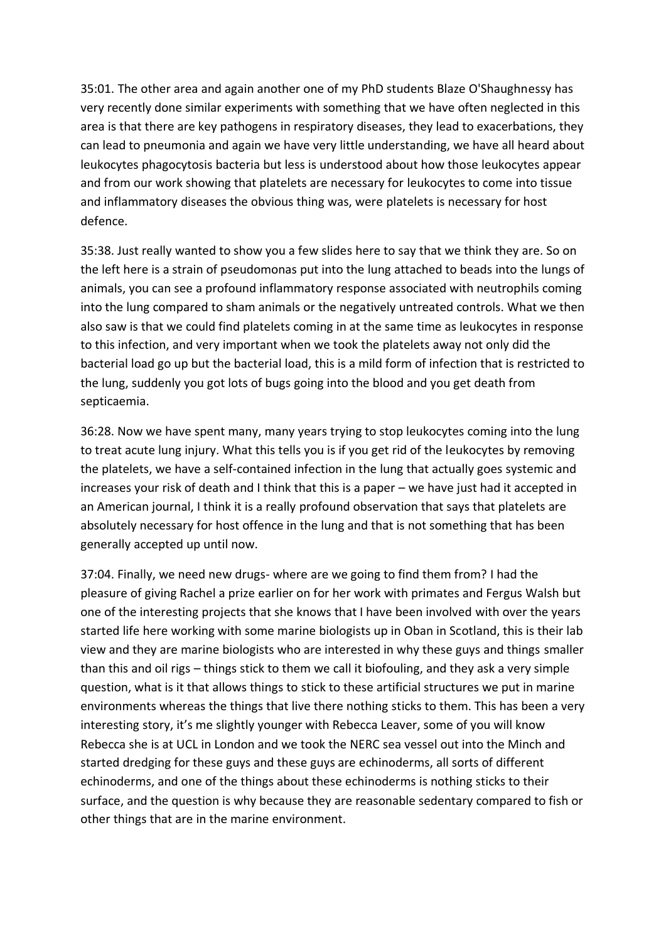35:01. The other area and again another one of my PhD students Blaze O'Shaughnessy has very recently done similar experiments with something that we have often neglected in this area is that there are key pathogens in respiratory diseases, they lead to exacerbations, they can lead to pneumonia and again we have very little understanding, we have all heard about leukocytes phagocytosis bacteria but less is understood about how those leukocytes appear and from our work showing that platelets are necessary for leukocytes to come into tissue and inflammatory diseases the obvious thing was, were platelets is necessary for host defence.

35:38. Just really wanted to show you a few slides here to say that we think they are. So on the left here is a strain of pseudomonas put into the lung attached to beads into the lungs of animals, you can see a profound inflammatory response associated with neutrophils coming into the lung compared to sham animals or the negatively untreated controls. What we then also saw is that we could find platelets coming in at the same time as leukocytes in response to this infection, and very important when we took the platelets away not only did the bacterial load go up but the bacterial load, this is a mild form of infection that is restricted to the lung, suddenly you got lots of bugs going into the blood and you get death from septicaemia.

36:28. Now we have spent many, many years trying to stop leukocytes coming into the lung to treat acute lung injury. What this tells you is if you get rid of the leukocytes by removing the platelets, we have a self-contained infection in the lung that actually goes systemic and increases your risk of death and I think that this is a paper – we have just had it accepted in an American journal, I think it is a really profound observation that says that platelets are absolutely necessary for host offence in the lung and that is not something that has been generally accepted up until now.

37:04. Finally, we need new drugs- where are we going to find them from? I had the pleasure of giving Rachel a prize earlier on for her work with primates and Fergus Walsh but one of the interesting projects that she knows that I have been involved with over the years started life here working with some marine biologists up in Oban in Scotland, this is their lab view and they are marine biologists who are interested in why these guys and things smaller than this and oil rigs – things stick to them we call it biofouling, and they ask a very simple question, what is it that allows things to stick to these artificial structures we put in marine environments whereas the things that live there nothing sticks to them. This has been a very interesting story, it's me slightly younger with Rebecca Leaver, some of you will know Rebecca she is at UCL in London and we took the NERC sea vessel out into the Minch and started dredging for these guys and these guys are echinoderms, all sorts of different echinoderms, and one of the things about these echinoderms is nothing sticks to their surface, and the question is why because they are reasonable sedentary compared to fish or other things that are in the marine environment.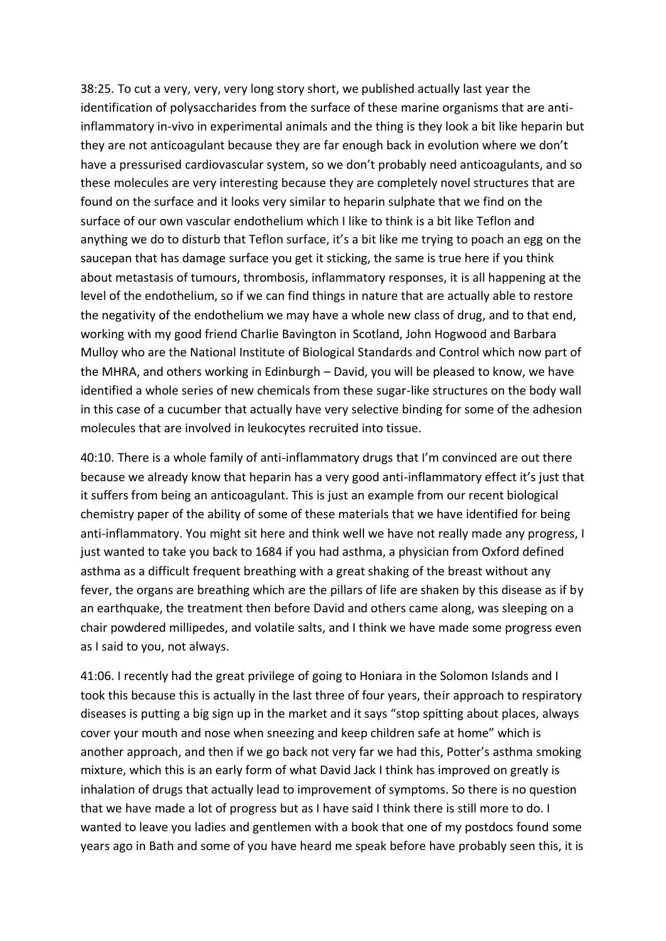38:25. To cut a very, very, very long story short, we published actually last year the identification of polysaccharides from the surface of these marine organisms that are antiinflammatory in-vivo in experimental animals and the thing is they look a bit like heparin but they are not anticoagulant because they are far enough back in evolution where we don't have a pressurised cardiovascular system, so we don't probably need anticoagulants, and so these molecules are very interesting because they are completely novel structures that are found on the surface and it looks very similar to heparin sulphate that we find on the surface of our own vascular endothelium which I like to think is a bit like Teflon and anything we do to disturb that Teflon surface, it's a bit like me trying to poach an egg on the saucepan that has damage surface you get it sticking, the same is true here if you think about metastasis of tumours, thrombosis, inflammatory responses, it is all happening at the level of the endothelium, so if we can find things in nature that are actually able to restore the negativity of the endothelium we may have a whole new class of drug, and to that end, working with my good friend Charlie Bavington in Scotland, John Hogwood and Barbara Mulloy who are the National Institute of Biological Standards and Control which now part of the MHRA, and others working in Edinburgh – David, you will be pleased to know, we have identified a whole series of new chemicals from these sugar-like structures on the body wall in this case of a cucumber that actually have very selective binding for some of the adhesion molecules that are involved in leukocytes recruited into tissue.

40:10. There is a whole family of anti-inflammatory drugs that I'm convinced are out there because we already know that heparin has a very good anti-inflammatory effect it's just that it suffers from being an anticoagulant. This is just an example from our recent biological chemistry paper of the ability of some of these materials that we have identified for being anti-inflammatory. You might sit here and think well we have not really made any progress, I just wanted to take you back to 1684 if you had asthma, a physician from Oxford defined asthma as a difficult frequent breathing with a great shaking of the breast without any fever, the organs are breathing which are the pillars of life are shaken by this disease as if by an earthquake, the treatment then before David and others came along, was sleeping on a chair powdered millipedes, and volatile salts, and I think we have made some progress even as I said to you, not always.

41:06. I recently had the great privilege of going to Honiara in the Solomon Islands and I took this because this is actually in the last three of four years, their approach to respiratory diseases is putting a big sign up in the market and it says "stop spitting about places, always cover your mouth and nose when sneezing and keep children safe at home" which is another approach, and then if we go back not very far we had this, Potter's asthma smoking mixture, which this is an early form of what David Jack I think has improved on greatly is inhalation of drugs that actually lead to improvement of symptoms. So there is no question that we have made a lot of progress but as I have said I think there is still more to do. I wanted to leave you ladies and gentlemen with a book that one of my postdocs found some years ago in Bath and some of you have heard me speak before have probably seen this, it is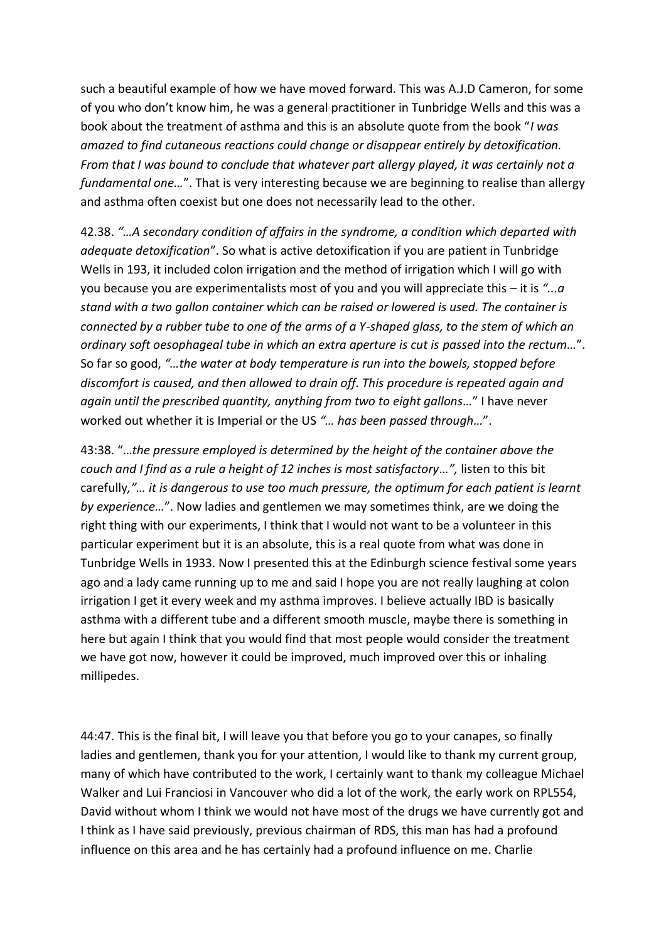such a beautiful example of how we have moved forward. This was A.J.D Cameron, for some of you who don't know him, he was a general practitioner in Tunbridge Wells and this was a book about the treatment of asthma and this is an absolute quote from the book "*I was amazed to find cutaneous reactions could change or disappear entirely by detoxification. From that I was bound to conclude that whatever part allergy played, it was certainly not a fundamental one…*". That is very interesting because we are beginning to realise than allergy and asthma often coexist but one does not necessarily lead to the other.

42.38. *"…A secondary condition of affairs in the syndrome, a condition which departed with adequate detoxification*". So what is active detoxification if you are patient in Tunbridge Wells in 193, it included colon irrigation and the method of irrigation which I will go with you because you are experimentalists most of you and you will appreciate this – it is *"...a stand with a two gallon container which can be raised or lowered is used. The container is connected by a rubber tube to one of the arms of a Y-shaped glass, to the stem of which an ordinary soft oesophageal tube in which an extra aperture is cut is passed into the rectum…*". So far so good, *"…the water at body temperature is run into the bowels, stopped before discomfort is caused, and then allowed to drain off. This procedure is repeated again and again until the prescribed quantity, anything from two to eight gallons…*" I have never worked out whether it is Imperial or the US *"… has been passed through…*".

43:38. "…*the pressure employed is determined by the height of the container above the couch and I find as a rule a height of 12 inches is most satisfactory…",* listen to this bit carefully*,"… it is dangerous to use too much pressure, the optimum for each patient is learnt by experience…*". Now ladies and gentlemen we may sometimes think, are we doing the right thing with our experiments, I think that I would not want to be a volunteer in this particular experiment but it is an absolute, this is a real quote from what was done in Tunbridge Wells in 1933. Now I presented this at the Edinburgh science festival some years ago and a lady came running up to me and said I hope you are not really laughing at colon irrigation I get it every week and my asthma improves. I believe actually IBD is basically asthma with a different tube and a different smooth muscle, maybe there is something in here but again I think that you would find that most people would consider the treatment we have got now, however it could be improved, much improved over this or inhaling millipedes.

44:47. This is the final bit, I will leave you that before you go to your canapes, so finally ladies and gentlemen, thank you for your attention, I would like to thank my current group, many of which have contributed to the work, I certainly want to thank my colleague Michael Walker and Lui Franciosi in Vancouver who did a lot of the work, the early work on RPL554, David without whom I think we would not have most of the drugs we have currently got and I think as I have said previously, previous chairman of RDS, this man has had a profound influence on this area and he has certainly had a profound influence on me. Charlie